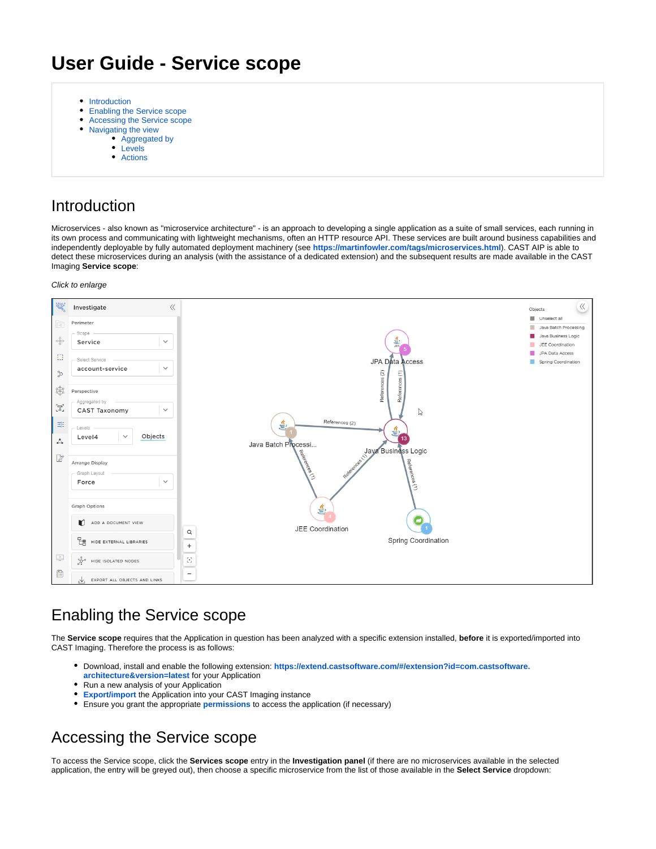# **User Guide - Service scope**

- [Introduction](#page-0-0)
- $\bullet$ [Enabling the Service scope](#page-0-1)
- [Accessing the Service scope](#page-0-2)
- [Navigating the view](#page-1-0)
- [Aggregated by](#page-1-1)
	- [Levels](#page-1-2)
	- [Actions](#page-2-0)

### <span id="page-0-0"></span>Introduction

 $\bullet$ 

Microservices - also known as "microservice architecture" - is an approach to developing a single application as a suite of small services, each running in its own process and communicating with lightweight mechanisms, often an HTTP resource API. These services are built around business capabilities and independently deployable by fully automated deployment machinery (see **<https://martinfowler.com/tags/microservices.html>**). CAST AIP is able to detect these microservices during an analysis (with the assistance of a dedicated extension) and the subsequent results are made available in the CAST Imaging **Service scope**:

#### Click to enlarge



## <span id="page-0-1"></span>Enabling the Service scope

The **Service scope** requires that the Application in question has been analyzed with a specific extension installed, **before** it is exported/imported into CAST Imaging. Therefore the process is as follows:

- Download, install and enable the following extension: **[https://extend.castsoftware.com/#/extension?id=com.castsoftware.](https://extend.castsoftware.com/#/extension?id=com.castsoftware.architecture&version=latest)**
- **[architecture&version=latest](https://extend.castsoftware.com/#/extension?id=com.castsoftware.architecture&version=latest)** for your Application
- Run a new analysis of your Application
- **[Export/import](https://doc.castsoftware.com/display/IMAGING/Export+and+import+the+Application+data)** the Application into your CAST Imaging instance
- Ensure you grant the appropriate **[permissions](https://doc.castsoftware.com/display/IMAGING/Admin+Center+-+Users+panel)** to access the application (if necessary)

## <span id="page-0-2"></span>Accessing the Service scope

To access the Service scope, click the **Services scope** entry in the **Investigation panel** (if there are no microservices available in the selected application, the entry will be greyed out), then choose a specific microservice from the list of those available in the **Select Service** dropdown: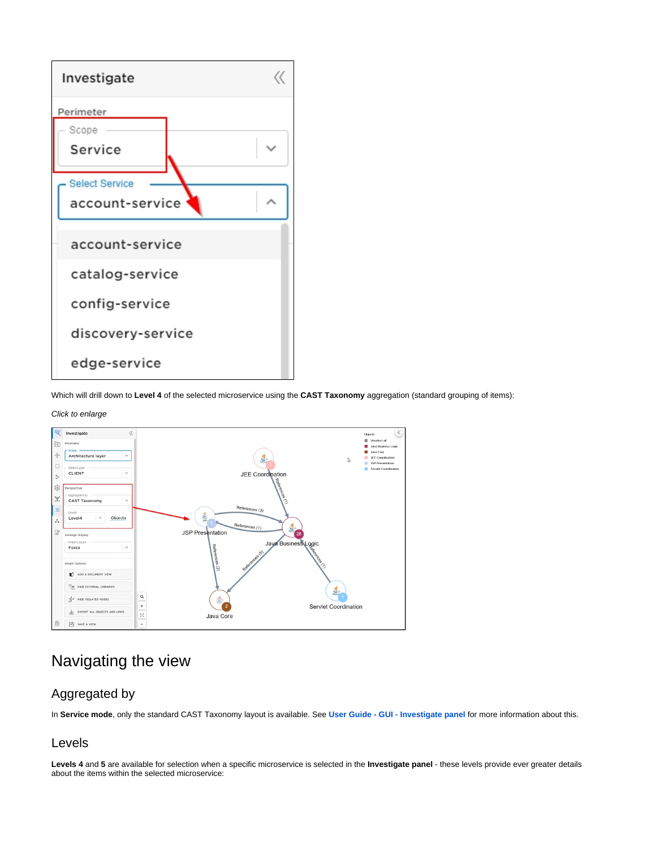

Which will drill down to **Level 4** of the selected microservice using the **CAST Taxonomy** aggregation (standard grouping of items):

#### Click to enlarge



### <span id="page-1-0"></span>Navigating the view

### <span id="page-1-1"></span>Aggregated by

In **Service mode**, only the standard CAST Taxonomy layout is available. See **[User Guide - GUI - Investigate panel](https://doc.castsoftware.com/display/IMAGING/User+Guide+-+GUI+-+Investigate+panel#UserGuideGUIInvestigatepanel-perspective)** for more information about this.

### <span id="page-1-2"></span>Levels

Levels 4 and 5 are available for selection when a specific microservice is selected in the **Investigate panel** - these levels provide ever greater details about the items within the selected microservice: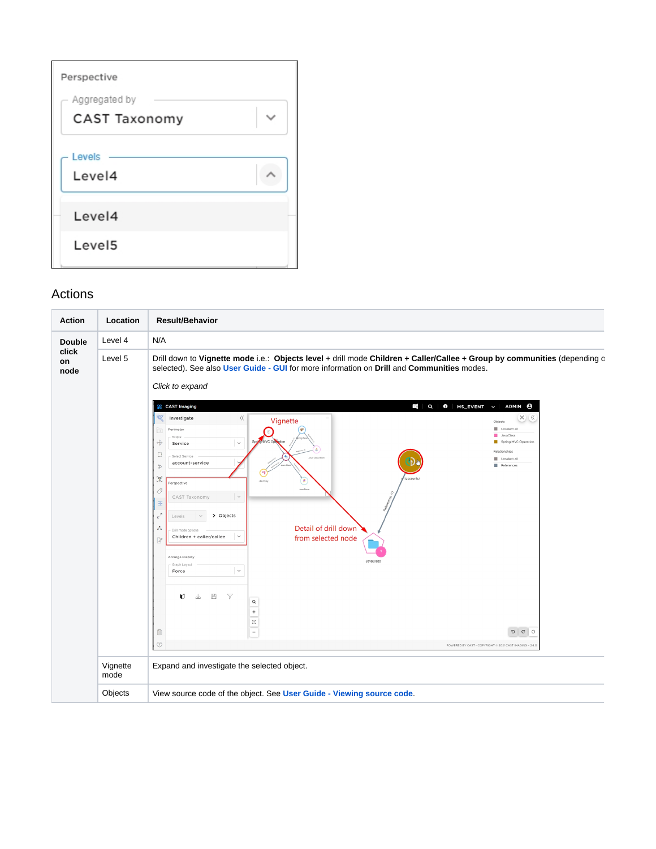| Perspective          |  |
|----------------------|--|
| Aggregated by        |  |
| <b>CAST Taxonomy</b> |  |
| Levels<br>Level4     |  |
| Level4               |  |
| Level <sub>5</sub>   |  |

### Actions

<span id="page-2-0"></span>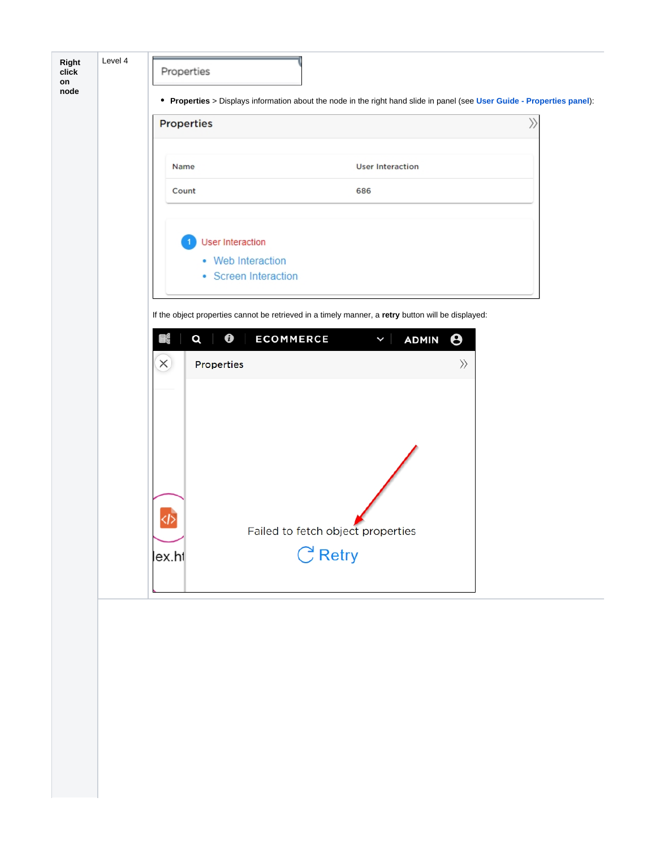| <b>Properties</b>       |                                                                                                    |           | $\rangle$ |
|-------------------------|----------------------------------------------------------------------------------------------------|-----------|-----------|
| Name                    | <b>User Interaction</b>                                                                            |           |           |
| Count                   | 686                                                                                                |           |           |
| <b>User Interaction</b> |                                                                                                    |           |           |
| • Web Interaction       |                                                                                                    |           |           |
| • Screen Interaction    |                                                                                                    |           |           |
|                         |                                                                                                    |           |           |
|                         | If the object properties cannot be retrieved in a timely manner, a retry button will be displayed: |           |           |
|                         |                                                                                                    |           |           |
| $\bf{e}$<br>K<br>Q      | <b>ECOMMERCE</b><br><b>ADMIN</b><br>$\checkmark$                                                   | Θ         |           |
| $\times$<br>Properties  |                                                                                                    | $\rangle$ |           |
|                         |                                                                                                    |           |           |
|                         |                                                                                                    |           |           |
|                         |                                                                                                    |           |           |
|                         |                                                                                                    |           |           |
|                         |                                                                                                    |           |           |
|                         |                                                                                                    |           |           |
|                         |                                                                                                    |           |           |
|                         |                                                                                                    |           |           |
|                         |                                                                                                    |           |           |
| <1>                     |                                                                                                    |           |           |
|                         | Failed to fetch object properties                                                                  |           |           |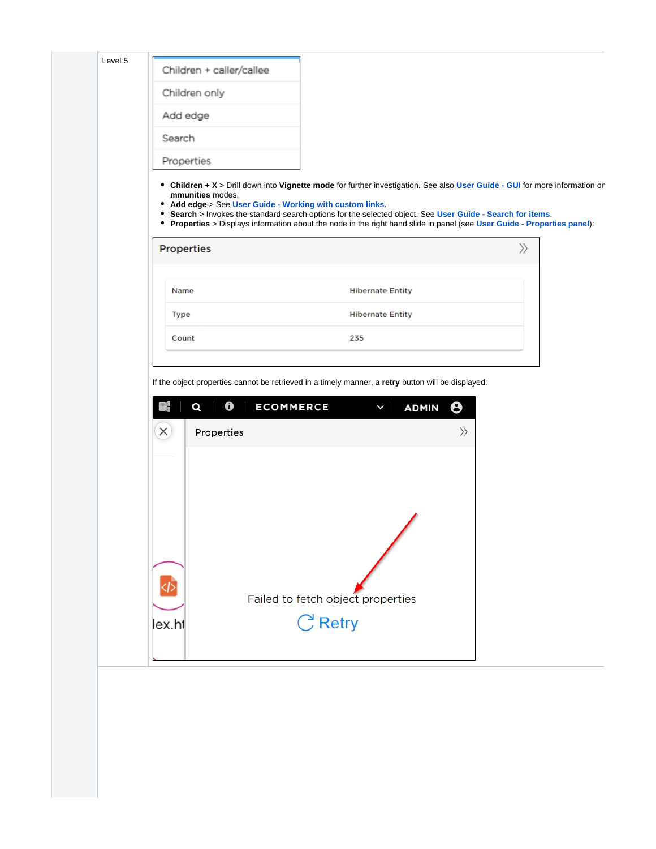| Level 5 |                                                                                                                                                                                                                                                                                                                                                                                                                                                       |                                   |
|---------|-------------------------------------------------------------------------------------------------------------------------------------------------------------------------------------------------------------------------------------------------------------------------------------------------------------------------------------------------------------------------------------------------------------------------------------------------------|-----------------------------------|
|         | Children + caller/callee                                                                                                                                                                                                                                                                                                                                                                                                                              |                                   |
|         | Children only                                                                                                                                                                                                                                                                                                                                                                                                                                         |                                   |
|         | Add edge                                                                                                                                                                                                                                                                                                                                                                                                                                              |                                   |
|         | Search                                                                                                                                                                                                                                                                                                                                                                                                                                                |                                   |
|         | Properties                                                                                                                                                                                                                                                                                                                                                                                                                                            |                                   |
|         | • Children + X > Drill down into Vignette mode for further investigation. See also User Guide - GUI for more information or<br>mmunities modes.<br>• Add edge > See User Guide - Working with custom links.<br>• Search > Invokes the standard search options for the selected object. See User Guide - Search for items.<br>• Properties > Displays information about the node in the right hand slide in panel (see User Guide - Properties panel): |                                   |
|         | <b>Properties</b>                                                                                                                                                                                                                                                                                                                                                                                                                                     | $\rangle\!\rangle$                |
|         | Name                                                                                                                                                                                                                                                                                                                                                                                                                                                  | <b>Hibernate Entity</b>           |
|         | <b>Type</b>                                                                                                                                                                                                                                                                                                                                                                                                                                           | <b>Hibernate Entity</b>           |
|         | 235<br>Count                                                                                                                                                                                                                                                                                                                                                                                                                                          |                                   |
|         |                                                                                                                                                                                                                                                                                                                                                                                                                                                       |                                   |
|         | $\bf{0}$<br><b>ECOMMERCE</b><br>醌<br>Q                                                                                                                                                                                                                                                                                                                                                                                                                | Θ<br><b>ADMIN</b><br>$\checkmark$ |
|         | $\times$<br>Properties                                                                                                                                                                                                                                                                                                                                                                                                                                | $\rangle$                         |
|         | ক<br>Failed to fetch object properties<br>C Retry<br>lex.h1                                                                                                                                                                                                                                                                                                                                                                                           |                                   |
|         |                                                                                                                                                                                                                                                                                                                                                                                                                                                       |                                   |
|         |                                                                                                                                                                                                                                                                                                                                                                                                                                                       |                                   |
|         |                                                                                                                                                                                                                                                                                                                                                                                                                                                       |                                   |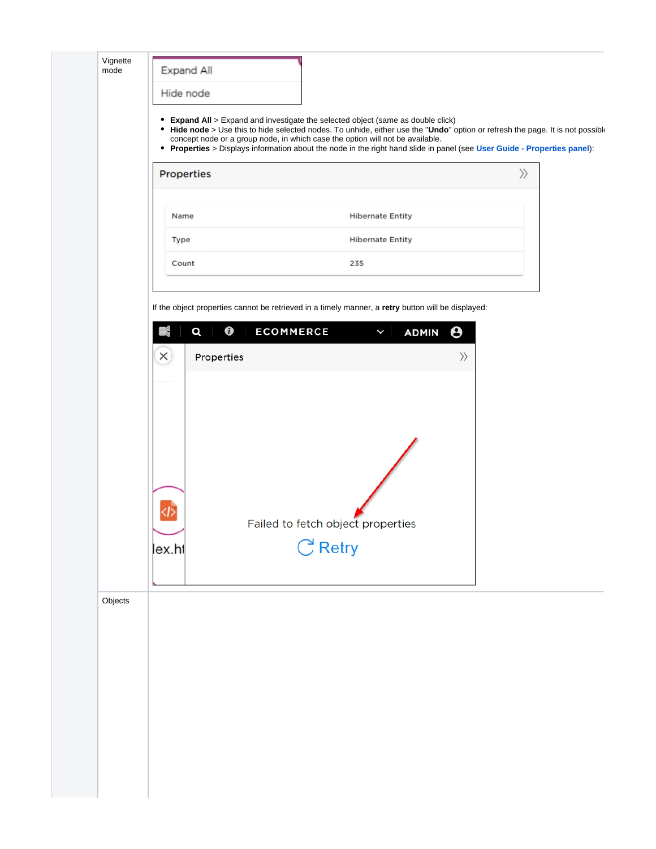|         | Properties                 | concept node or a group node, in which case the option will not be available.<br>• Properties > Displays information about the node in the right hand slide in panel (see User Guide - Properties panel): | $\rangle\!\rangle$    |
|---------|----------------------------|-----------------------------------------------------------------------------------------------------------------------------------------------------------------------------------------------------------|-----------------------|
|         | Name                       | <b>Hibernate Entity</b>                                                                                                                                                                                   |                       |
|         | <b>Type</b>                | <b>Hibernate Entity</b>                                                                                                                                                                                   |                       |
|         | Count                      | 235                                                                                                                                                                                                       |                       |
|         |                            | If the object properties cannot be retrieved in a timely manner, a retry button will be displayed:                                                                                                        |                       |
|         | $\boldsymbol{\theta}$<br>Q | <b>ECOMMERCE</b><br>$\checkmark$<br><b>ADMIN</b>                                                                                                                                                          | $\boldsymbol{\Theta}$ |
|         | $\times$<br>Properties     |                                                                                                                                                                                                           | $\rangle\!\rangle$    |
|         | lex.ht                     | Failed to fetch object properties<br>$C$ Retry                                                                                                                                                            |                       |
| Objects |                            |                                                                                                                                                                                                           |                       |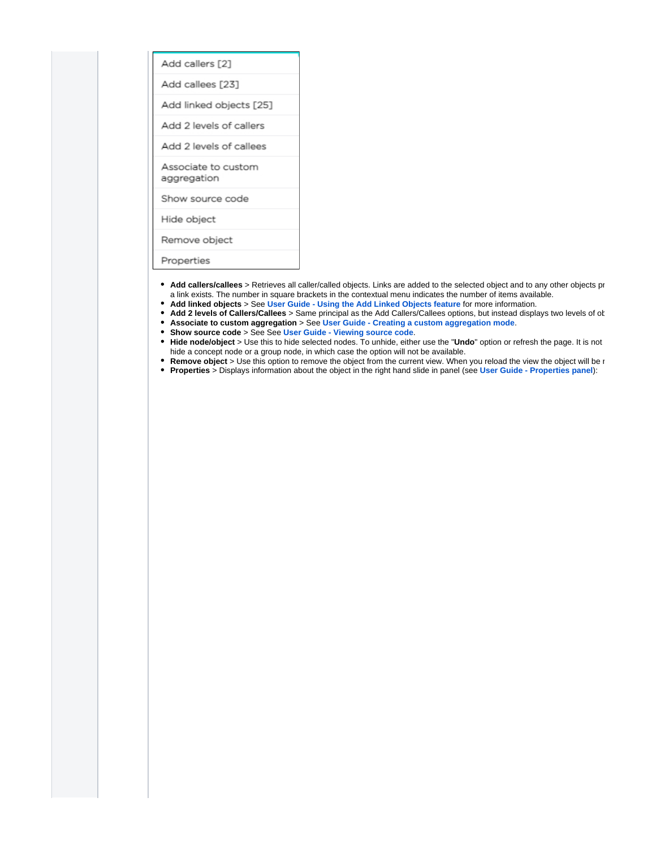| Add callers [2]                    |
|------------------------------------|
| Add callees [23]                   |
| Add linked objects [25]            |
| Add 2 levels of callers            |
| Add 2 levels of callees            |
| Associate to custom<br>aggregation |
| Show source code                   |
| Hide object                        |
| Remove object                      |
| Properties                         |
|                                    |

- Add callers/callees > Retrieves all caller/called objects. Links are added to the selected object and to any other objects pr a link exists. The number in square brackets in the contextual menu indicates the number of items available.
- **Add linked objects** > See **[User Guide Using the Add Linked Objects feature](https://doc.castsoftware.com/display/IMAGING/User+Guide+-+Using+the+Add+Linked+Objects+feature)** for more information.
- Add 2 levels of Callers/Callees > Same principal as the Add Callers/Callees options, but instead displays two levels of ot  $\bullet$ **Associate to custom aggregation** > See **[User Guide - Creating a custom aggregation mode](https://doc.castsoftware.com/display/IMAGING/User+Guide+-+Creating+a+custom+aggregation+mode#UserGuideCreatingacustomaggregationmode-associate)**.
- **Show source code** > See See **[User Guide Viewing source code](https://doc.castsoftware.com/display/IMAGING/User+Guide+-+Viewing+source+code)**.
- Hide node/object > Use this to hide selected nodes. To unhide, either use the "Undo" option or refresh the page. It is not hide a concept node or a group node, in which case the option will not be available.
- **Remove object** > Use this option to remove the object from the current view. When you reload the view the object will be  $\iota$
- **Properties** > Displays information about the object in the right hand slide in panel (see **[User Guide Properties panel](https://doc.castsoftware.com/display/IMAGING/User+Guide+-+Properties+panel)**):